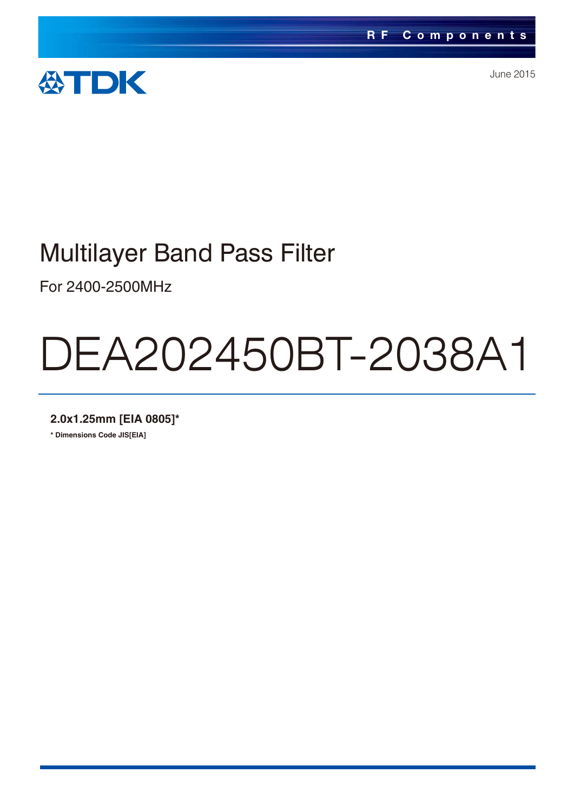

June 2015

# Multilayer Band Pass Filter

For 2400-2500MHz

# DEA202450BT-2038A1

**2.0x1.25mm [EIA 0805]\***

**\* Dimensions Code JIS[EIA]**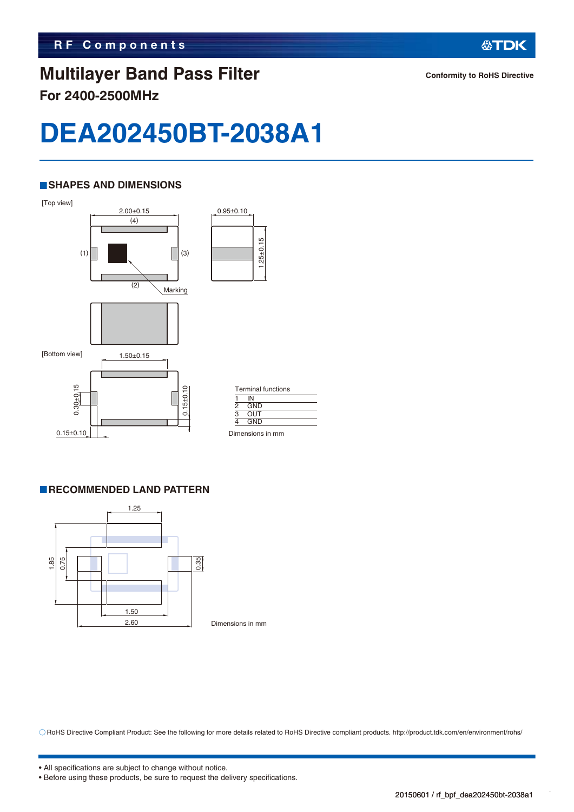#### **Multilayer Band Pass Filter For 2400-2500MHz**

**公TDK** 

## **DEA202450BT-2038A1**

#### **SHAPES AND DIMENSIONS**



#### **RECOMMENDED LAND PATTERN**



Dimensions in mm

RoHS Directive Compliant Product: See the following for more details related to RoHS Directive compliant products. http://product.tdk.com/en/environment/rohs/

<sup>•</sup> All specifications are subject to change without notice.

<sup>•</sup> Before using these products, be sure to request the delivery specifications.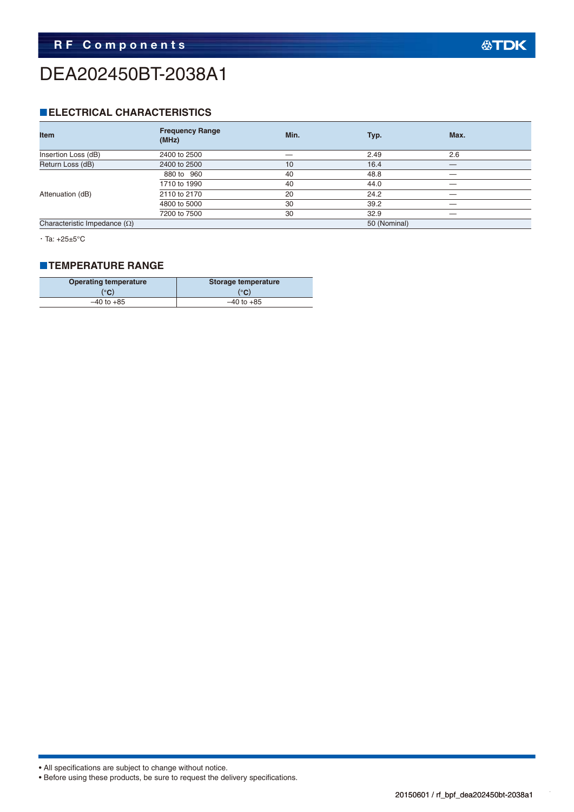## DEA202450BT-2038A1

#### **ELECTRICAL CHARACTERISTICS**

| <b>Item</b>                         | <b>Frequency Range</b><br>(MHz) | Min. | Typ.         | Max. |
|-------------------------------------|---------------------------------|------|--------------|------|
| Insertion Loss (dB)                 | 2400 to 2500                    |      | 2.49         | 2.6  |
| Return Loss (dB)                    | 2400 to 2500                    | 10   | 16.4         |      |
|                                     | 880 to 960                      | 40   | 48.8         |      |
|                                     | 1710 to 1990                    | 40   | 44.0         |      |
| Attenuation (dB)                    | 2110 to 2170                    | 20   | 24.2         |      |
|                                     | 4800 to 5000                    | 30   | 39.2         |      |
|                                     | 7200 to 7500                    | 30   | 32.9         |      |
| Characteristic Impedance $(\Omega)$ |                                 |      | 50 (Nominal) |      |

・Ta: +25±5°C

#### **TEMPERATURE RANGE**

| <b>Operating temperature</b> | Storage temperature |  |  |
|------------------------------|---------------------|--|--|
| (°C)                         | (°C)                |  |  |
| $-40$ to $+85$               | $-40$ to $+85$      |  |  |

<sup>•</sup> Before using these products, be sure to request the delivery specifications.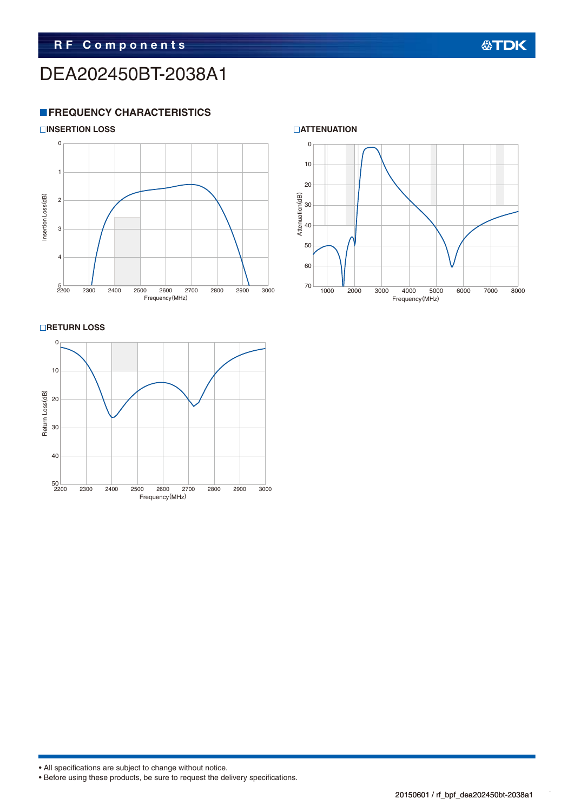## DEA202450BT-2038A1

#### **FREQUENCY CHARACTERISTICS**





**RETURN LOSS** 





```
• Before using these products, be sure to request the delivery specifications.
```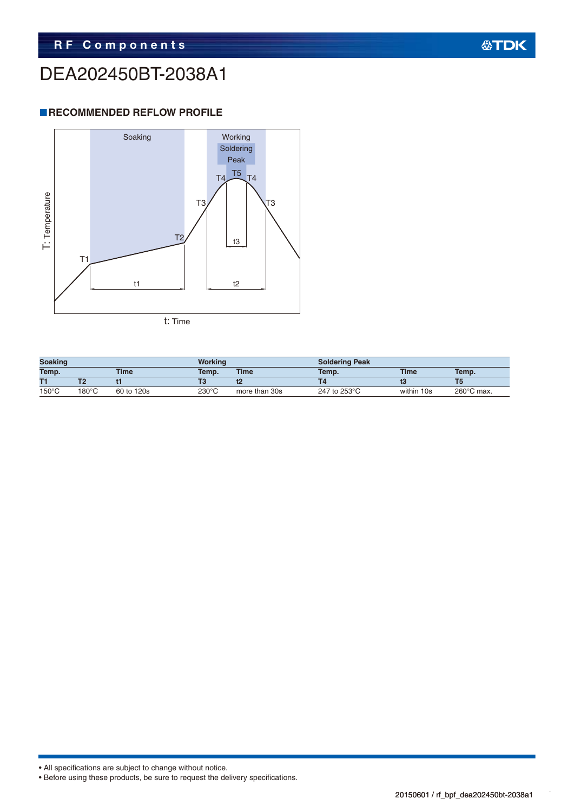## DEA202450BT-2038A1

#### **RECOMMENDED REFLOW PROFILE**



| <b>Soaking</b>  |       |             | <b>Working</b>  |               | <b>Soldering Peak</b> |             |                      |
|-----------------|-------|-------------|-----------------|---------------|-----------------------|-------------|----------------------|
| Temp.           |       | <b>Time</b> | Temp.           | <b>Time</b>   | Temp.                 | <b>Time</b> | Temp.                |
| T1              |       |             | ю               |               |                       |             |                      |
| $150^{\circ}$ C | 180°C | 60 to 120s  | $230^{\circ}$ C | more than 30s | 247 to 253°C          | within 10s  | $260^{\circ}$ C max. |

<sup>•</sup> Before using these products, be sure to request the delivery specifications.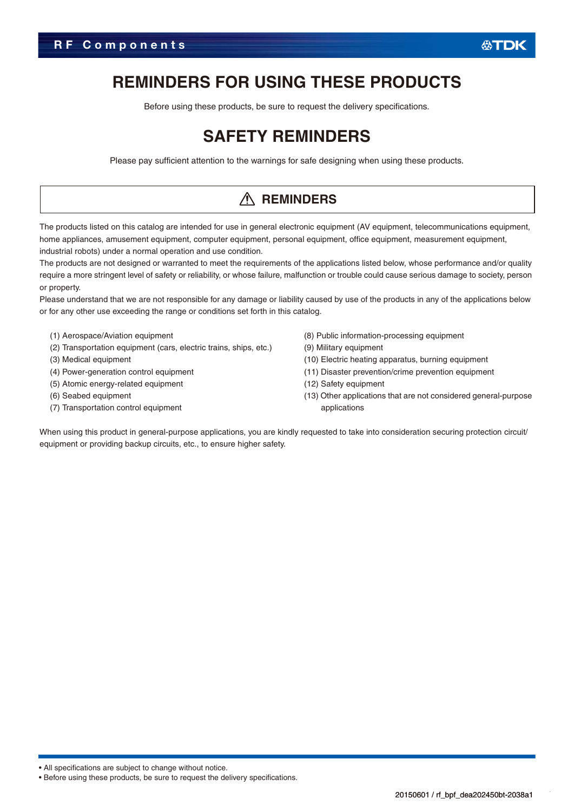### **REMINDERS FOR USING THESE PRODUCTS**

Before using these products, be sure to request the delivery specifications.

## **SAFETY REMINDERS**

Please pay sufficient attention to the warnings for safe designing when using these products.

#### **REMINDERS**

The products listed on this catalog are intended for use in general electronic equipment (AV equipment, telecommunications equipment, home appliances, amusement equipment, computer equipment, personal equipment, office equipment, measurement equipment, industrial robots) under a normal operation and use condition.

The products are not designed or warranted to meet the requirements of the applications listed below, whose performance and/or quality require a more stringent level of safety or reliability, or whose failure, malfunction or trouble could cause serious damage to society, person or property.

Please understand that we are not responsible for any damage or liability caused by use of the products in any of the applications below or for any other use exceeding the range or conditions set forth in this catalog.

- (1) Aerospace/Aviation equipment
- (2) Transportation equipment (cars, electric trains, ships, etc.)
- (3) Medical equipment
- (4) Power-generation control equipment
- (5) Atomic energy-related equipment
- (6) Seabed equipment
- (7) Transportation control equipment
- (8) Public information-processing equipment
- (9) Military equipment
- (10) Electric heating apparatus, burning equipment
- (11) Disaster prevention/crime prevention equipment
- (12) Safety equipment
- (13) Other applications that are not considered general-purpose applications

When using this product in general-purpose applications, you are kindly requested to take into consideration securing protection circuit/ equipment or providing backup circuits, etc., to ensure higher safety.

<sup>•</sup> Before using these products, be sure to request the delivery specifications.